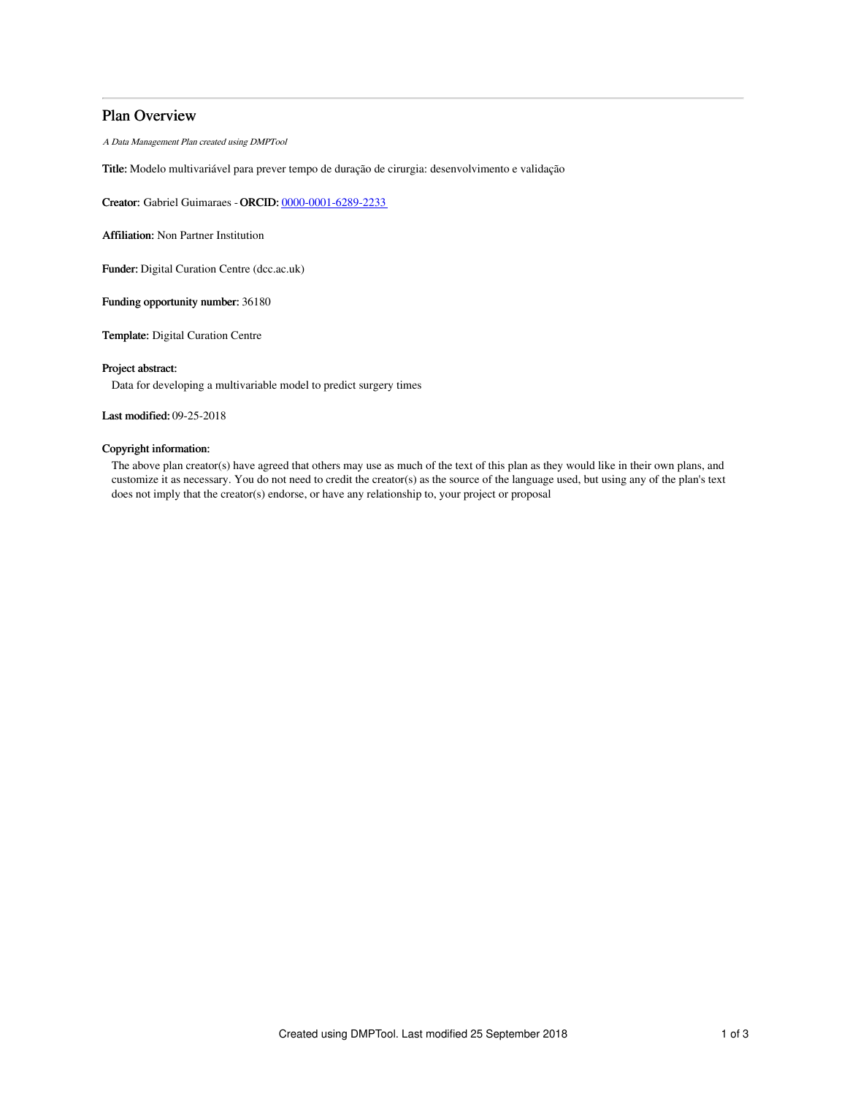# Plan Overview

A Data Management Plan created using DMPTool

Title: Modelo multivariável para prever tempo de duração de cirurgia: desenvolvimento e validação

Creator: Gabriel Guimaraes -ORCID: [0000-0001-6289-2233](https://orcid.org/0000-0001-6289-2233)

Affiliation: Non Partner Institution

Funder: Digital Curation Centre (dcc.ac.uk)

Funding opportunity number: 36180

Template: Digital Curation Centre

## Project abstract:

Data for developing a multivariable model to predict surgery times

# Last modified: 09-25-2018

# Copyright information:

The above plan creator(s) have agreed that others may use as much of the text of this plan as they would like in their own plans, and customize it as necessary. You do not need to credit the creator(s) as the source of the language used, but using any of the plan's text does not imply that the creator(s) endorse, or have any relationship to, your project or proposal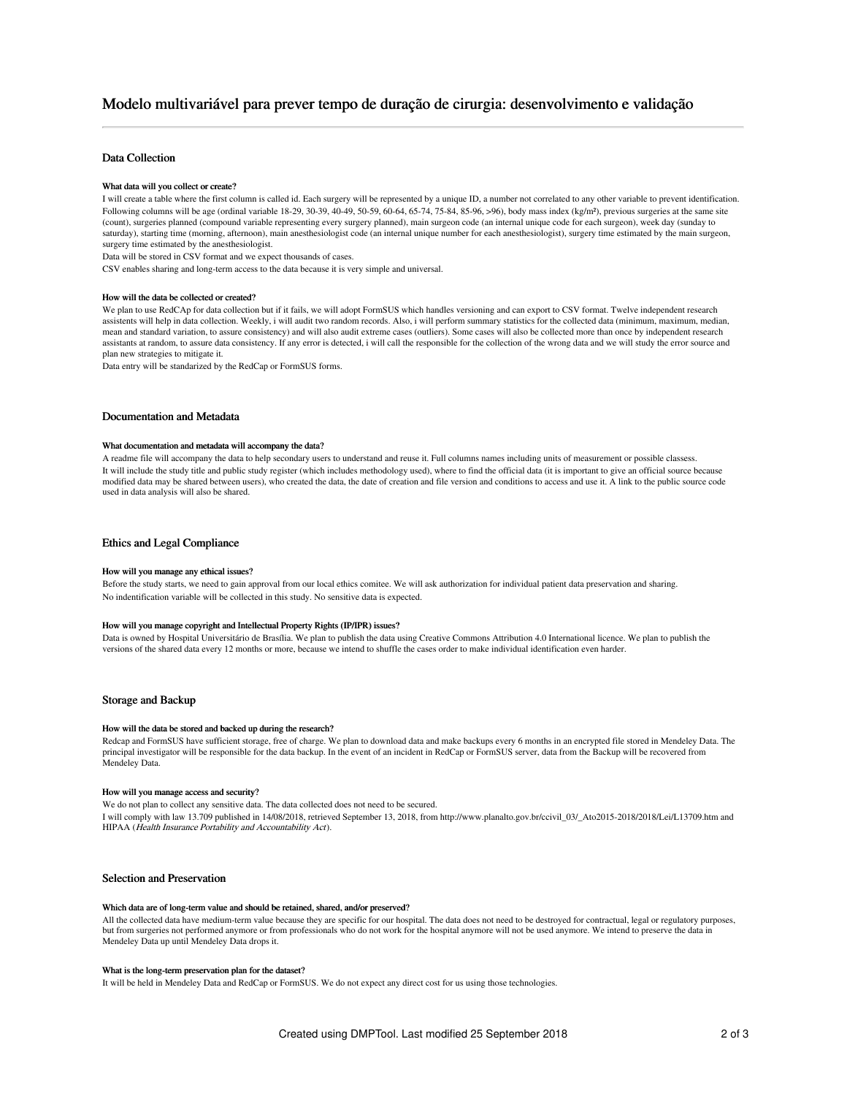# Modelo multivariável para prever tempo de duração de cirurgia: desenvolvimento e validação

# Data Collection

#### What data will you collect or create?

I will create a table where the first column is called id. Each surgery will be represented by a unique ID, a number not correlated to any other variable to prevent identification. Following columns will be age (ordinal variable 18-29, 30-39, 40-49, 50-59, 60-64, 65-74, 75-84, 85-96, >96), body mass index (kg/m²), previous surgeries at the same site (count), surgeries planned (compound variable representing every surgery planned), main surgeon code (an internal unique code for each surgeon), week day (sunday to saturday), starting time (morning, afternoon), main anesthesiologist code (an internal unique number for each anesthesiologist), surgery time estimated by the main surgeon, surgery time estimated by the anesthesiologist.

Data will be stored in CSV format and we expect thousands of cases.

CSV enables sharing and long-term access to the data because it is very simple and universal.

#### How will the data be collected or created?

We plan to use RedCAp for data collection but if it fails, we will adopt FormSUS which handles versioning and can export to CSV format. Twelve independent research assistents will help in data collection. Weekly, i will audit two random records. Also, i will perform summary statistics for the collected data (minimum, maximum, median, mean and standard variation, to assure consistency) and will also audit extreme cases (outliers). Some cases will also be collected more than once by independent research assistants at random, to assure data consistency. If any error is detected, i will call the responsible for the collection of the wrong data and we will study the error source and plan new strategies to mitigate it.

Data entry will be standarized by the RedCap or FormSUS forms.

#### Documentation and Metadata

#### What documentation and metadata will accompany the data?

A readme file will accompany the data to help secondary users to understand and reuse it. Full columns names including units of measurement or possible classess. It will include the study title and public study register (which includes methodology used), where to find the official data (it is important to give an official source because modified data may be shared between users), who created the data, the date of creation and file version and conditions to access and use it. A link to the public source code used in data analysis will also be shared.

### Ethics and Legal Compliance

#### How will you manage any ethical issues?

Before the study starts, we need to gain approval from our local ethics comitee. We will ask authorization for individual patient data preservation and sharing. No indentification variable will be collected in this study. No sensitive data is expected.

#### How will you manage copyright and Intellectual Property Rights (IP/IPR) issues?

Data is owned by Hospital Universitário de Brasília. We plan to publish the data using Creative Commons Attribution 4.0 International licence. We plan to publish the versions of the shared data every 12 months or more, because we intend to shuffle the cases order to make individual identification even harder.

### Storage and Backup

#### How will the data be stored and backed up during the research?

Redcap and FormSUS have sufficient storage, free of charge. We plan to download data and make backups every 6 months in an encrypted file stored in Mendeley Data. The principal investigator will be responsible for the data backup. In the event of an incident in RedCap or FormSUS server, data from the Backup will be recovered from Mendeley Data.

### How will you manage access and security?

We do not plan to collect any sensitive data. The data collected does not need to be secured.

I will comply with law 13.709 published in 14/08/2018, retrieved September 13, 2018, from http://www.planalto.gov.br/ccivil\_03/\_Ato2015-2018/2018/Lei/L13709.htm and HIPAA (Health Insurance Portability and Accountability Act).

## Selection and Preservation

#### Which data are of long-term value and should be retained, shared, and/or preserved?

All the collected data have medium-term value because they are specific for our hospital. The data does not need to be destroyed for contractual, legal or regulatory purposes, but from surgeries not performed anymore or from professionals who do not work for the hospital anymore will not be used anymore. We intend to preserve the data in Mendeley Data up until Mendeley Data drops it.

#### What is the long-term preservation plan for the dataset?

It will be held in Mendeley Data and RedCap or FormSUS. We do not expect any direct cost for us using those technologies.